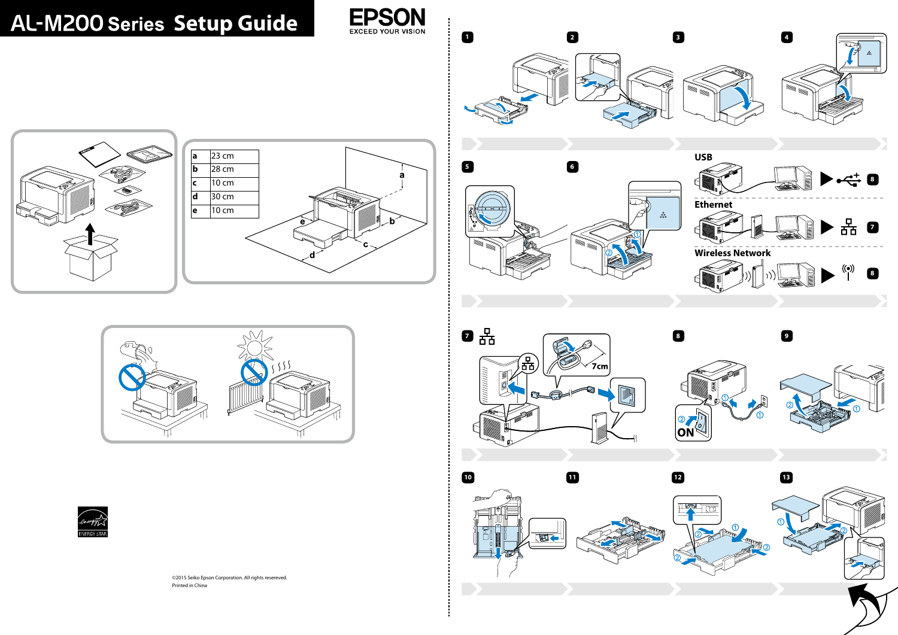

©2015 Seiko Epson Corporation. All rights resereved. Printed in China